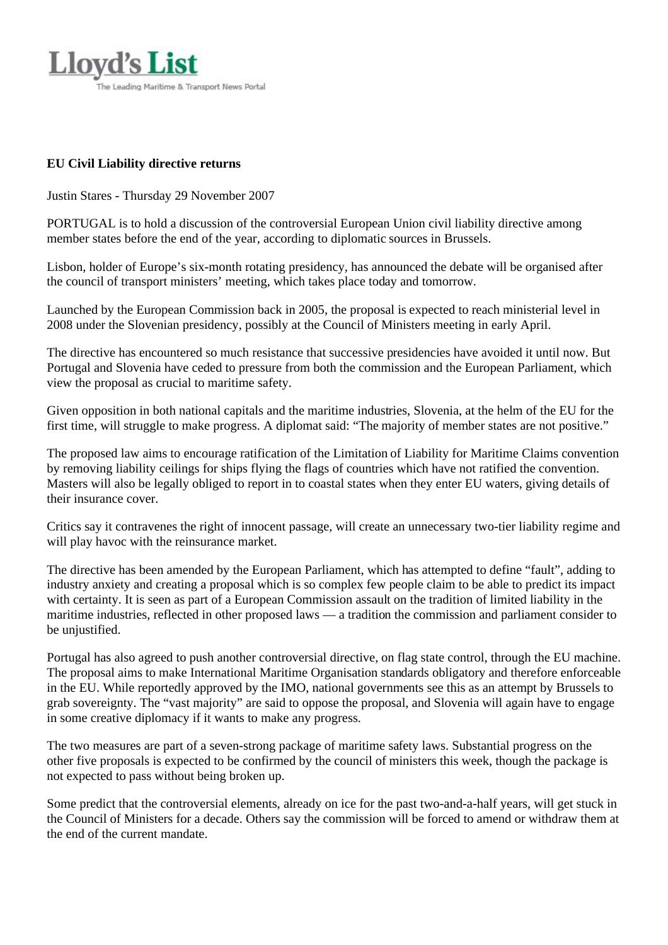

## **EU Civil Liability directive returns**

Justin Stares - Thursday 29 November 2007

PORTUGAL is to hold a discussion of the controversial European Union civil liability directive among member states before the end of the year, according to diplomatic sources in Brussels.

Lisbon, holder of Europe's six-month rotating presidency, has announced the debate will be organised after the council of transport ministers' meeting, which takes place today and tomorrow.

Launched by the European Commission back in 2005, the proposal is expected to reach ministerial level in 2008 under the Slovenian presidency, possibly at the Council of Ministers meeting in early April.

The directive has encountered so much resistance that successive presidencies have avoided it until now. But Portugal and Slovenia have ceded to pressure from both the commission and the European Parliament, which view the proposal as crucial to maritime safety.

Given opposition in both national capitals and the maritime industries, Slovenia, at the helm of the EU for the first time, will struggle to make progress. A diplomat said: "The majority of member states are not positive."

The proposed law aims to encourage ratification of the Limitation of Liability for Maritime Claims convention by removing liability ceilings for ships flying the flags of countries which have not ratified the convention. Masters will also be legally obliged to report in to coastal states when they enter EU waters, giving details of their insurance cover.

Critics say it contravenes the right of innocent passage, will create an unnecessary two-tier liability regime and will play havoc with the reinsurance market.

The directive has been amended by the European Parliament, which has attempted to define "fault", adding to industry anxiety and creating a proposal which is so complex few people claim to be able to predict its impact with certainty. It is seen as part of a European Commission assault on the tradition of limited liability in the maritime industries, reflected in other proposed laws — a tradition the commission and parliament consider to be unjustified.

Portugal has also agreed to push another controversial directive, on flag state control, through the EU machine. The proposal aims to make International Maritime Organisation standards obligatory and therefore enforceable in the EU. While reportedly approved by the IMO, national governments see this as an attempt by Brussels to grab sovereignty. The "vast majority" are said to oppose the proposal, and Slovenia will again have to engage in some creative diplomacy if it wants to make any progress.

The two measures are part of a seven-strong package of maritime safety laws. Substantial progress on the other five proposals is expected to be confirmed by the council of ministers this week, though the package is not expected to pass without being broken up.

Some predict that the controversial elements, already on ice for the past two-and-a-half years, will get stuck in the Council of Ministers for a decade. Others say the commission will be forced to amend or withdraw them at the end of the current mandate.